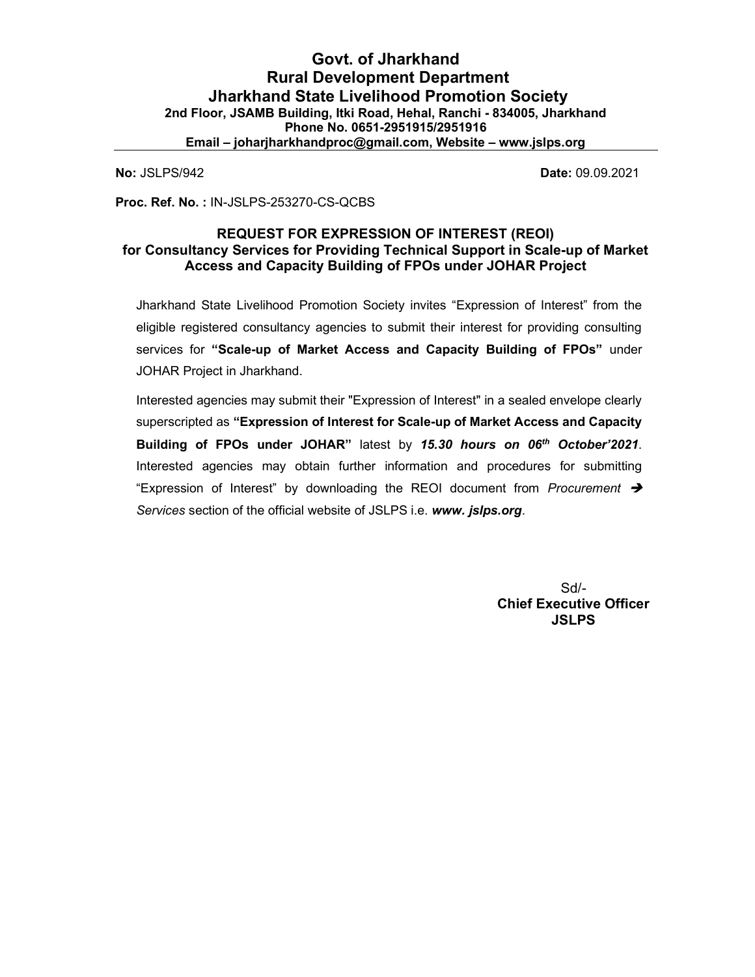No: JSLPS/942 Date: 09.09.2021

Proc. Ref. No. : IN-JSLPS-253270-CS-QCBS

# REQUEST FOR EXPRESSION OF INTEREST (REOI) for Consultancy Services for Providing Technical Support in Scale-up of Market Access and Capacity Building of FPOs under JOHAR Project

Jharkhand State Livelihood Promotion Society invites "Expression of Interest" from the eligible registered consultancy agencies to submit their interest for providing consulting services for "Scale-up of Market Access and Capacity Building of FPOs" under JOHAR Project in Jharkhand.

Interested agencies may submit their "Expression of Interest" in a sealed envelope clearly superscripted as "Expression of Interest for Scale-up of Market Access and Capacity Building of FPOs under JOHAR" latest by 15.30 hours on 06<sup>th</sup> October'2021. Interested agencies may obtain further information and procedures for submitting "Expression of Interest" by downloading the REOI document from Procurement  $\rightarrow$ Services section of the official website of JSLPS i.e. www. jslps.org.

> Sd/- Chief Executive Officer **JSLPS**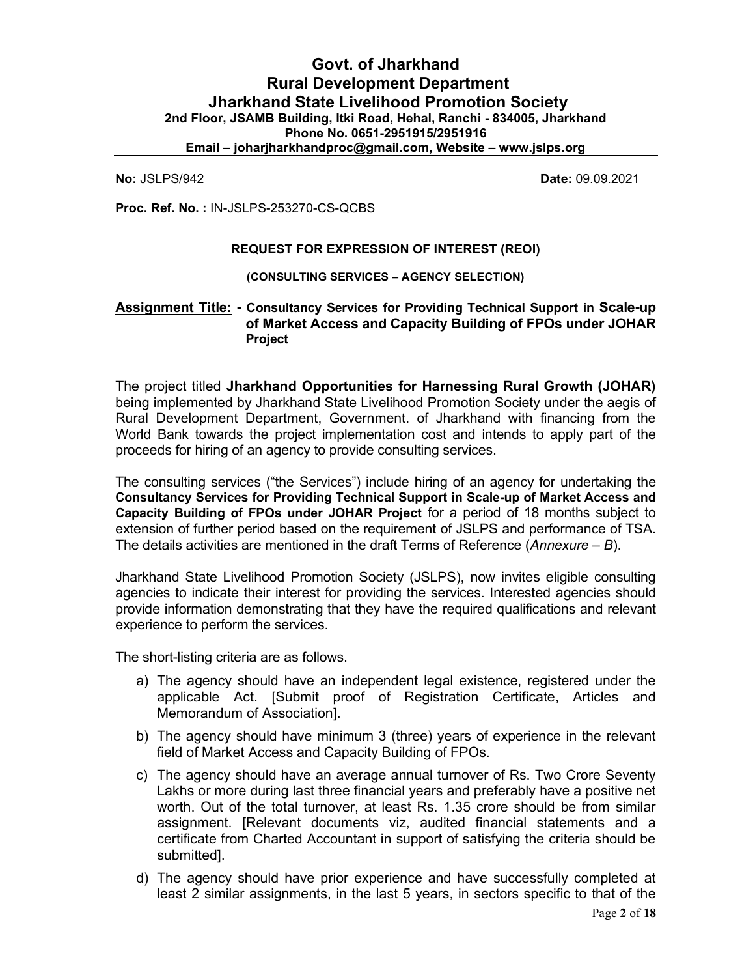# Govt. of Jharkhand Rural Development Department Jharkhand State Livelihood Promotion Society 2nd Floor, JSAMB Building, Itki Road, Hehal, Ranchi - 834005, Jharkhand Phone No. 0651-2951915/2951916 Email – joharjharkhandproc@gmail.com, Website – www.jslps.org

No: JSLPS/942 Date: 09.09.2021

Proc. Ref. No. : IN-JSLPS-253270-CS-QCBS

#### REQUEST FOR EXPRESSION OF INTEREST (REOI)

(CONSULTING SERVICES – AGENCY SELECTION)

# Assignment Title: - Consultancy Services for Providing Technical Support in Scale-up of Market Access and Capacity Building of FPOs under JOHAR Project

The project titled Jharkhand Opportunities for Harnessing Rural Growth (JOHAR) being implemented by Jharkhand State Livelihood Promotion Society under the aegis of Rural Development Department, Government. of Jharkhand with financing from the World Bank towards the project implementation cost and intends to apply part of the proceeds for hiring of an agency to provide consulting services.

The consulting services ("the Services") include hiring of an agency for undertaking the Consultancy Services for Providing Technical Support in Scale-up of Market Access and Capacity Building of FPOs under JOHAR Project for a period of 18 months subject to extension of further period based on the requirement of JSLPS and performance of TSA. The details activities are mentioned in the draft Terms of Reference (Annexure  $-B$ ).

Jharkhand State Livelihood Promotion Society (JSLPS), now invites eligible consulting agencies to indicate their interest for providing the services. Interested agencies should provide information demonstrating that they have the required qualifications and relevant experience to perform the services.

The short-listing criteria are as follows.

- a) The agency should have an independent legal existence, registered under the applicable Act. [Submit proof of Registration Certificate, Articles and Memorandum of Association].
- b) The agency should have minimum 3 (three) years of experience in the relevant field of Market Access and Capacity Building of FPOs.
- c) The agency should have an average annual turnover of Rs. Two Crore Seventy Lakhs or more during last three financial years and preferably have a positive net worth. Out of the total turnover, at least Rs. 1.35 crore should be from similar assignment. [Relevant documents viz, audited financial statements and a certificate from Charted Accountant in support of satisfying the criteria should be submitted].
- d) The agency should have prior experience and have successfully completed at least 2 similar assignments, in the last 5 years, in sectors specific to that of the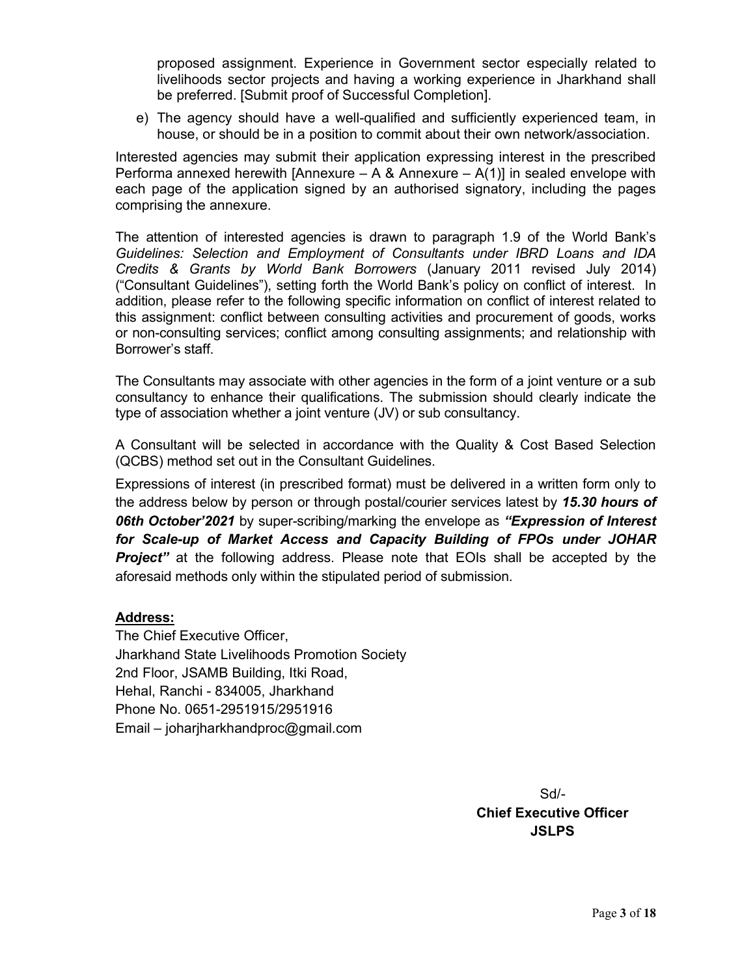proposed assignment. Experience in Government sector especially related to livelihoods sector projects and having a working experience in Jharkhand shall be preferred. [Submit proof of Successful Completion].

e) The agency should have a well-qualified and sufficiently experienced team, in house, or should be in a position to commit about their own network/association.

Interested agencies may submit their application expressing interest in the prescribed Performa annexed herewith [Annexure – A & Annexure –  $A(1)$ ] in sealed envelope with each page of the application signed by an authorised signatory, including the pages comprising the annexure.

The attention of interested agencies is drawn to paragraph 1.9 of the World Bank's Guidelines: Selection and Employment of Consultants under IBRD Loans and IDA Credits & Grants by World Bank Borrowers (January 2011 revised July 2014) ("Consultant Guidelines"), setting forth the World Bank's policy on conflict of interest. In addition, please refer to the following specific information on conflict of interest related to this assignment: conflict between consulting activities and procurement of goods, works or non-consulting services; conflict among consulting assignments; and relationship with Borrower's staff.

The Consultants may associate with other agencies in the form of a joint venture or a sub consultancy to enhance their qualifications. The submission should clearly indicate the type of association whether a joint venture (JV) or sub consultancy.

A Consultant will be selected in accordance with the Quality & Cost Based Selection (QCBS) method set out in the Consultant Guidelines.

Expressions of interest (in prescribed format) must be delivered in a written form only to the address below by person or through postal/courier services latest by 15.30 hours of **06th October'2021** by super-scribing/marking the envelope as "**Expression of Interest** for Scale-up of Market Access and Capacity Building of FPOs under JOHAR **Project"** at the following address. Please note that EOIs shall be accepted by the aforesaid methods only within the stipulated period of submission.

# Address:

The Chief Executive Officer, Jharkhand State Livelihoods Promotion Society 2nd Floor, JSAMB Building, Itki Road, Hehal, Ranchi - 834005, Jharkhand Phone No. 0651-2951915/2951916 Email – joharjharkhandproc@gmail.com

> Sd/- Chief Executive Officer **JSLPS**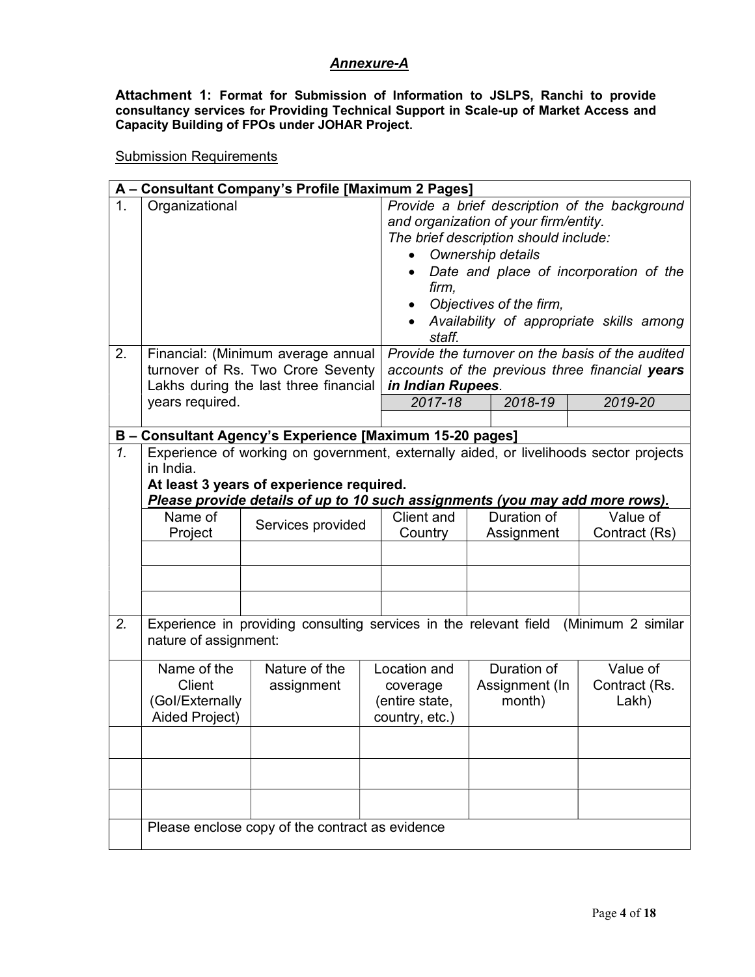# Annexure-A

Attachment 1: Format for Submission of Information to JSLPS, Ranchi to provide consultancy services for Providing Technical Support in Scale-up of Market Access and Capacity Building of FPOs under JOHAR Project.

Submission Requirements

|                      | A - Consultant Company's Profile [Maximum 2 Pages]                                                                                                                                                                                                                                                                                                                                                                                                                                          |                                                                                      |                                                              |  |                                         |                                    |  |  |
|----------------------|---------------------------------------------------------------------------------------------------------------------------------------------------------------------------------------------------------------------------------------------------------------------------------------------------------------------------------------------------------------------------------------------------------------------------------------------------------------------------------------------|--------------------------------------------------------------------------------------|--------------------------------------------------------------|--|-----------------------------------------|------------------------------------|--|--|
| $\mathbf{1}$ .<br>2. | Organizational<br>Provide a brief description of the background<br>and organization of your firm/entity.<br>The brief description should include:<br>Ownership details<br>Date and place of incorporation of the<br>firm,<br>Objectives of the firm,<br>Availability of appropriate skills among<br>staff.<br>Provide the turnover on the basis of the audited<br>Financial: (Minimum average annual<br>turnover of Rs. Two Crore Seventy<br>accounts of the previous three financial years |                                                                                      |                                                              |  |                                         |                                    |  |  |
|                      |                                                                                                                                                                                                                                                                                                                                                                                                                                                                                             | Lakhs during the last three financial                                                | in Indian Rupees.                                            |  |                                         |                                    |  |  |
|                      | years required.                                                                                                                                                                                                                                                                                                                                                                                                                                                                             |                                                                                      | 2017-18                                                      |  | 2018-19                                 | 2019-20                            |  |  |
|                      |                                                                                                                                                                                                                                                                                                                                                                                                                                                                                             |                                                                                      |                                                              |  |                                         |                                    |  |  |
| $\overline{1}$ .     | B - Consultant Agency's Experience [Maximum 15-20 pages]<br>Experience of working on government, externally aided, or livelihoods sector projects<br>in India.<br>At least 3 years of experience required.<br>Please provide details of up to 10 such assignments (you may add more rows).                                                                                                                                                                                                  |                                                                                      |                                                              |  |                                         |                                    |  |  |
|                      | Name of<br>Project                                                                                                                                                                                                                                                                                                                                                                                                                                                                          | Services provided                                                                    | Client and<br>Country                                        |  | Duration of<br>Assignment               | Value of<br>Contract (Rs)          |  |  |
|                      |                                                                                                                                                                                                                                                                                                                                                                                                                                                                                             |                                                                                      |                                                              |  |                                         |                                    |  |  |
|                      |                                                                                                                                                                                                                                                                                                                                                                                                                                                                                             |                                                                                      |                                                              |  |                                         |                                    |  |  |
| 2.                   | nature of assignment:                                                                                                                                                                                                                                                                                                                                                                                                                                                                       | Experience in providing consulting services in the relevant field (Minimum 2 similar |                                                              |  |                                         |                                    |  |  |
|                      | Name of the<br>Client<br>(Gol/Externally<br>Aided Project)                                                                                                                                                                                                                                                                                                                                                                                                                                  | Nature of the<br>assignment                                                          | Location and<br>coverage<br>(entire state,<br>country, etc.) |  | Duration of<br>Assignment (In<br>month) | Value of<br>Contract (Rs.<br>Lakh) |  |  |
|                      |                                                                                                                                                                                                                                                                                                                                                                                                                                                                                             |                                                                                      |                                                              |  |                                         |                                    |  |  |
|                      |                                                                                                                                                                                                                                                                                                                                                                                                                                                                                             |                                                                                      |                                                              |  |                                         |                                    |  |  |
|                      |                                                                                                                                                                                                                                                                                                                                                                                                                                                                                             |                                                                                      |                                                              |  |                                         |                                    |  |  |
|                      | Please enclose copy of the contract as evidence                                                                                                                                                                                                                                                                                                                                                                                                                                             |                                                                                      |                                                              |  |                                         |                                    |  |  |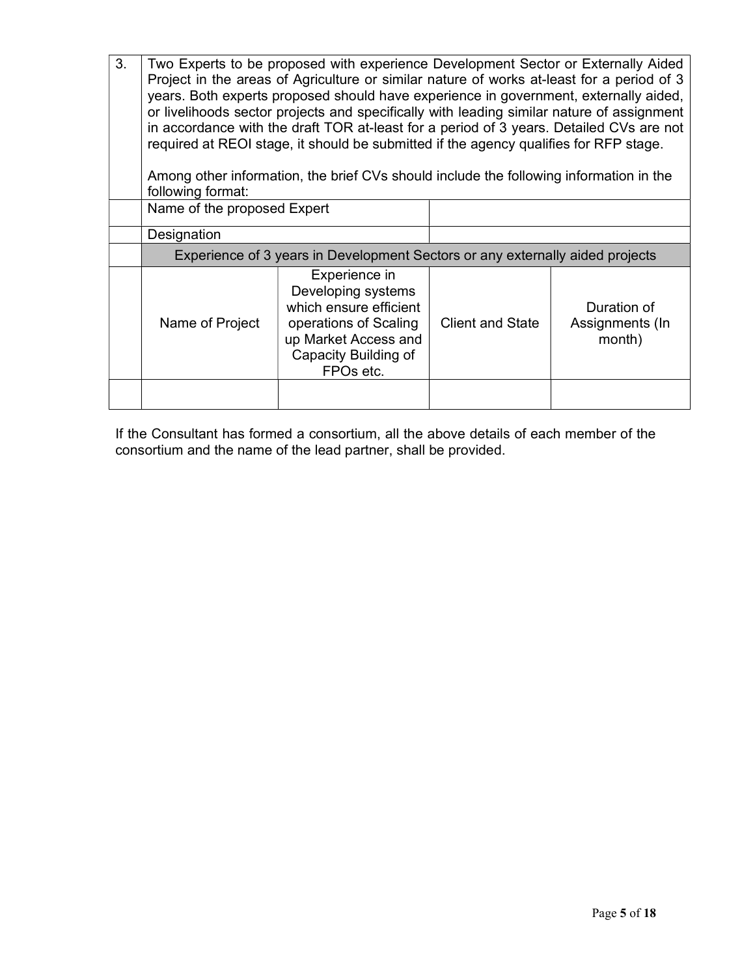| 3. | Two Experts to be proposed with experience Development Sector or Externally Aided<br>Project in the areas of Agriculture or similar nature of works at-least for a period of 3<br>years. Both experts proposed should have experience in government, externally aided,<br>or livelihoods sector projects and specifically with leading similar nature of assignment<br>in accordance with the draft TOR at-least for a period of 3 years. Detailed CVs are not<br>required at REOI stage, it should be submitted if the agency qualifies for RFP stage. |                                                                                                                                                     |                         |                                          |  |  |  |
|----|---------------------------------------------------------------------------------------------------------------------------------------------------------------------------------------------------------------------------------------------------------------------------------------------------------------------------------------------------------------------------------------------------------------------------------------------------------------------------------------------------------------------------------------------------------|-----------------------------------------------------------------------------------------------------------------------------------------------------|-------------------------|------------------------------------------|--|--|--|
|    | following format:                                                                                                                                                                                                                                                                                                                                                                                                                                                                                                                                       | Among other information, the brief CVs should include the following information in the                                                              |                         |                                          |  |  |  |
|    | Name of the proposed Expert                                                                                                                                                                                                                                                                                                                                                                                                                                                                                                                             |                                                                                                                                                     |                         |                                          |  |  |  |
|    | Designation                                                                                                                                                                                                                                                                                                                                                                                                                                                                                                                                             |                                                                                                                                                     |                         |                                          |  |  |  |
|    | Experience of 3 years in Development Sectors or any externally aided projects                                                                                                                                                                                                                                                                                                                                                                                                                                                                           |                                                                                                                                                     |                         |                                          |  |  |  |
|    | Name of Project                                                                                                                                                                                                                                                                                                                                                                                                                                                                                                                                         | Experience in<br>Developing systems<br>which ensure efficient<br>operations of Scaling<br>up Market Access and<br>Capacity Building of<br>FPOs etc. | <b>Client and State</b> | Duration of<br>Assignments (In<br>month) |  |  |  |
|    |                                                                                                                                                                                                                                                                                                                                                                                                                                                                                                                                                         |                                                                                                                                                     |                         |                                          |  |  |  |

If the Consultant has formed a consortium, all the above details of each member of the consortium and the name of the lead partner, shall be provided.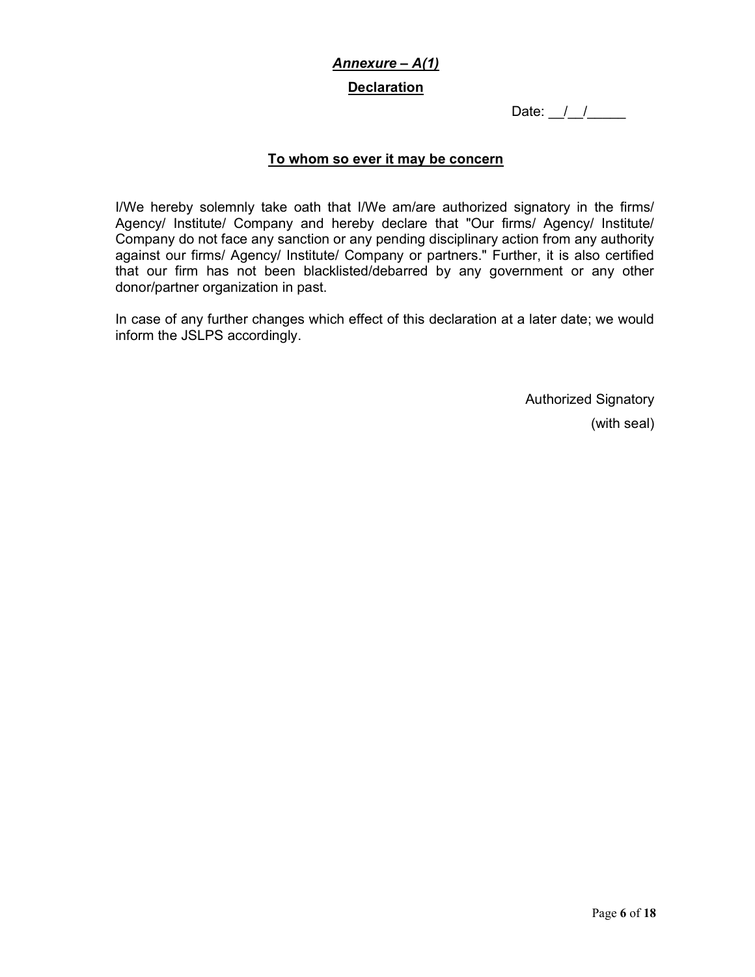# Annexure – A(1) **Declaration**

Date:  $\frac{1}{2}$ 

# To whom so ever it may be concern

I/We hereby solemnly take oath that I/We am/are authorized signatory in the firms/ Agency/ Institute/ Company and hereby declare that "Our firms/ Agency/ Institute/ Company do not face any sanction or any pending disciplinary action from any authority against our firms/ Agency/ Institute/ Company or partners." Further, it is also certified that our firm has not been blacklisted/debarred by any government or any other donor/partner organization in past.

In case of any further changes which effect of this declaration at a later date; we would inform the JSLPS accordingly.

> Authorized Signatory (with seal)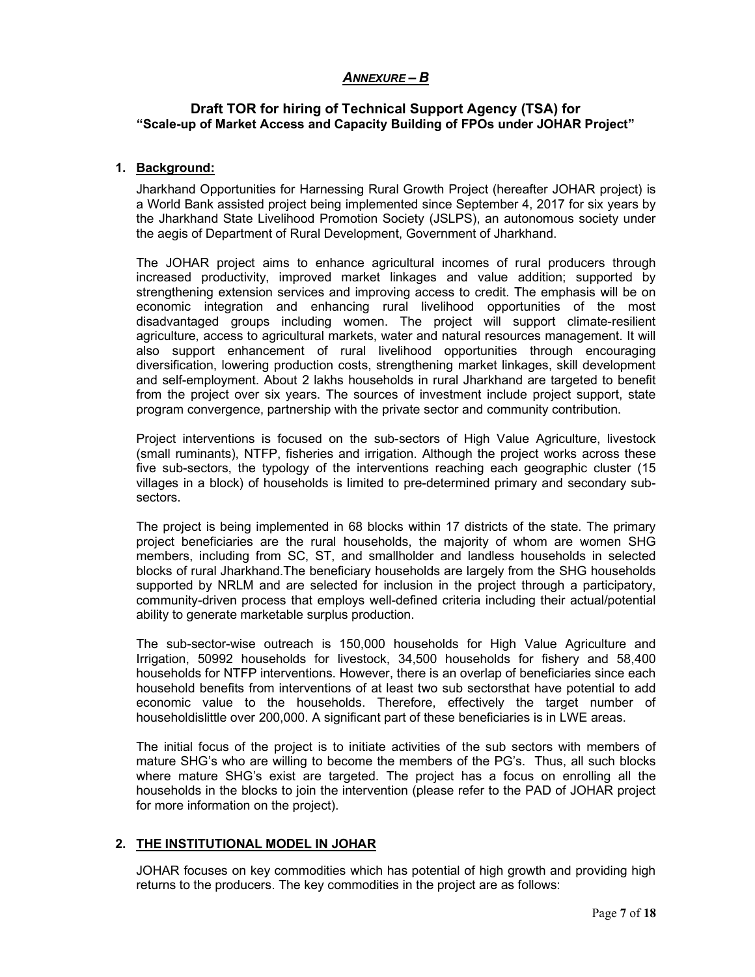# ANNEXURE – B

## Draft TOR for hiring of Technical Support Agency (TSA) for "Scale-up of Market Access and Capacity Building of FPOs under JOHAR Project"

#### 1. Background:

Jharkhand Opportunities for Harnessing Rural Growth Project (hereafter JOHAR project) is a World Bank assisted project being implemented since September 4, 2017 for six years by the Jharkhand State Livelihood Promotion Society (JSLPS), an autonomous society under the aegis of Department of Rural Development, Government of Jharkhand.

The JOHAR project aims to enhance agricultural incomes of rural producers through increased productivity, improved market linkages and value addition; supported by strengthening extension services and improving access to credit. The emphasis will be on economic integration and enhancing rural livelihood opportunities of the most disadvantaged groups including women. The project will support climate-resilient agriculture, access to agricultural markets, water and natural resources management. It will also support enhancement of rural livelihood opportunities through encouraging diversification, lowering production costs, strengthening market linkages, skill development and self-employment. About 2 lakhs households in rural Jharkhand are targeted to benefit from the project over six years. The sources of investment include project support, state program convergence, partnership with the private sector and community contribution.

Project interventions is focused on the sub-sectors of High Value Agriculture, livestock (small ruminants), NTFP, fisheries and irrigation. Although the project works across these five sub-sectors, the typology of the interventions reaching each geographic cluster (15 villages in a block) of households is limited to pre-determined primary and secondary subsectors.

The project is being implemented in 68 blocks within 17 districts of the state. The primary project beneficiaries are the rural households, the majority of whom are women SHG members, including from SC, ST, and smallholder and landless households in selected blocks of rural Jharkhand.The beneficiary households are largely from the SHG households supported by NRLM and are selected for inclusion in the project through a participatory, community-driven process that employs well-defined criteria including their actual/potential ability to generate marketable surplus production.

The sub-sector-wise outreach is 150,000 households for High Value Agriculture and Irrigation, 50992 households for livestock, 34,500 households for fishery and 58,400 households for NTFP interventions. However, there is an overlap of beneficiaries since each household benefits from interventions of at least two sub sectorsthat have potential to add economic value to the households. Therefore, effectively the target number of householdislittle over 200,000. A significant part of these beneficiaries is in LWE areas.

The initial focus of the project is to initiate activities of the sub sectors with members of mature SHG's who are willing to become the members of the PG's. Thus, all such blocks where mature SHG's exist are targeted. The project has a focus on enrolling all the households in the blocks to join the intervention (please refer to the PAD of JOHAR project for more information on the project).

## 2. THE INSTITUTIONAL MODEL IN JOHAR

JOHAR focuses on key commodities which has potential of high growth and providing high returns to the producers. The key commodities in the project are as follows: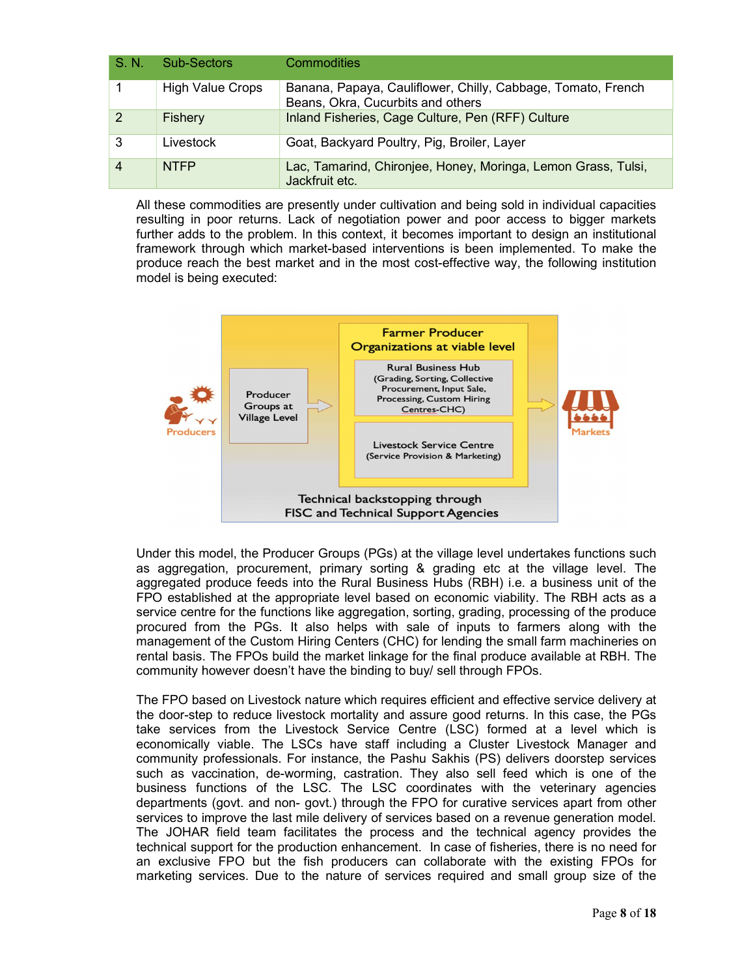| S. N. | Sub-Sectors             | <b>Commodities</b>                                                                                |
|-------|-------------------------|---------------------------------------------------------------------------------------------------|
|       | <b>High Value Crops</b> | Banana, Papaya, Cauliflower, Chilly, Cabbage, Tomato, French<br>Beans, Okra, Cucurbits and others |
| 2     | Fishery                 | Inland Fisheries, Cage Culture, Pen (RFF) Culture                                                 |
| 3     | Livestock               | Goat, Backyard Poultry, Pig, Broiler, Layer                                                       |
| 4     | <b>NTFP</b>             | Lac, Tamarind, Chironjee, Honey, Moringa, Lemon Grass, Tulsi,<br>Jackfruit etc.                   |

All these commodities are presently under cultivation and being sold in individual capacities resulting in poor returns. Lack of negotiation power and poor access to bigger markets further adds to the problem. In this context, it becomes important to design an institutional framework through which market-based interventions is been implemented. To make the produce reach the best market and in the most cost-effective way, the following institution model is being executed:



Under this model, the Producer Groups (PGs) at the village level undertakes functions such as aggregation, procurement, primary sorting & grading etc at the village level. The aggregated produce feeds into the Rural Business Hubs (RBH) i.e. a business unit of the FPO established at the appropriate level based on economic viability. The RBH acts as a service centre for the functions like aggregation, sorting, grading, processing of the produce procured from the PGs. It also helps with sale of inputs to farmers along with the management of the Custom Hiring Centers (CHC) for lending the small farm machineries on rental basis. The FPOs build the market linkage for the final produce available at RBH. The community however doesn't have the binding to buy/ sell through FPOs.

The FPO based on Livestock nature which requires efficient and effective service delivery at the door-step to reduce livestock mortality and assure good returns. In this case, the PGs take services from the Livestock Service Centre (LSC) formed at a level which is economically viable. The LSCs have staff including a Cluster Livestock Manager and community professionals. For instance, the Pashu Sakhis (PS) delivers doorstep services such as vaccination, de-worming, castration. They also sell feed which is one of the business functions of the LSC. The LSC coordinates with the veterinary agencies departments (govt. and non- govt.) through the FPO for curative services apart from other services to improve the last mile delivery of services based on a revenue generation model. The JOHAR field team facilitates the process and the technical agency provides the technical support for the production enhancement. In case of fisheries, there is no need for an exclusive FPO but the fish producers can collaborate with the existing FPOs for marketing services. Due to the nature of services required and small group size of the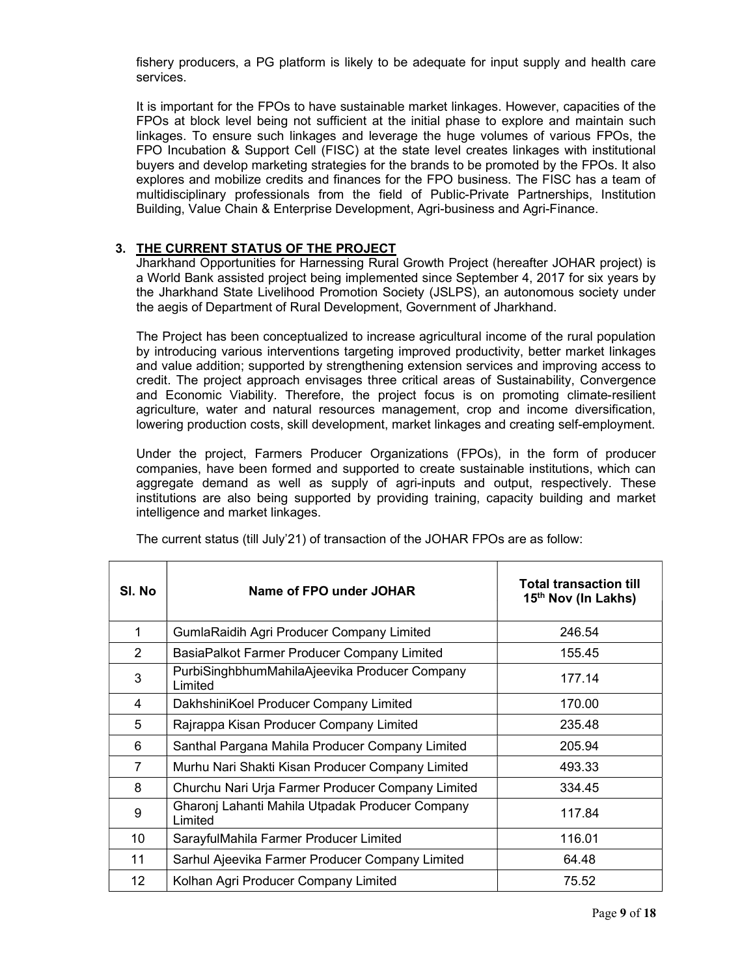fishery producers, a PG platform is likely to be adequate for input supply and health care services.

It is important for the FPOs to have sustainable market linkages. However, capacities of the FPOs at block level being not sufficient at the initial phase to explore and maintain such linkages. To ensure such linkages and leverage the huge volumes of various FPOs, the FPO Incubation & Support Cell (FISC) at the state level creates linkages with institutional buyers and develop marketing strategies for the brands to be promoted by the FPOs. It also explores and mobilize credits and finances for the FPO business. The FISC has a team of multidisciplinary professionals from the field of Public-Private Partnerships, Institution Building, Value Chain & Enterprise Development, Agri-business and Agri-Finance.

# 3. THE CURRENT STATUS OF THE PROJECT

Jharkhand Opportunities for Harnessing Rural Growth Project (hereafter JOHAR project) is a World Bank assisted project being implemented since September 4, 2017 for six years by the Jharkhand State Livelihood Promotion Society (JSLPS), an autonomous society under the aegis of Department of Rural Development, Government of Jharkhand.

The Project has been conceptualized to increase agricultural income of the rural population by introducing various interventions targeting improved productivity, better market linkages and value addition; supported by strengthening extension services and improving access to credit. The project approach envisages three critical areas of Sustainability, Convergence and Economic Viability. Therefore, the project focus is on promoting climate-resilient agriculture, water and natural resources management, crop and income diversification, lowering production costs, skill development, market linkages and creating self-employment.

Under the project, Farmers Producer Organizations (FPOs), in the form of producer companies, have been formed and supported to create sustainable institutions, which can aggregate demand as well as supply of agri-inputs and output, respectively. These institutions are also being supported by providing training, capacity building and market intelligence and market linkages.

| SI. No         | Name of FPO under JOHAR                                    | <b>Total transaction till</b><br>15 <sup>th</sup> Nov (In Lakhs) |
|----------------|------------------------------------------------------------|------------------------------------------------------------------|
| 1              | <b>GumlaRaidih Agri Producer Company Limited</b>           | 246.54                                                           |
| $\overline{2}$ | BasiaPalkot Farmer Producer Company Limited                | 155.45                                                           |
| 3              | PurbiSinghbhumMahilaAjeevika Producer Company<br>Limited   | 177.14                                                           |
| 4              | DakhshiniKoel Producer Company Limited                     | 170.00                                                           |
| 5              | Rajrappa Kisan Producer Company Limited                    | 235.48                                                           |
| 6              | Santhal Pargana Mahila Producer Company Limited            | 205.94                                                           |
| 7              | Murhu Nari Shakti Kisan Producer Company Limited           | 493.33                                                           |
| 8              | Churchu Nari Urja Farmer Producer Company Limited          | 334.45                                                           |
| 9              | Gharonj Lahanti Mahila Utpadak Producer Company<br>Limited | 117.84                                                           |
| 10             | SarayfulMahila Farmer Producer Limited                     | 116.01                                                           |
| 11             | Sarhul Ajeevika Farmer Producer Company Limited            | 64.48                                                            |
| 12             | Kolhan Agri Producer Company Limited                       | 75.52                                                            |

The current status (till July'21) of transaction of the JOHAR FPOs are as follow: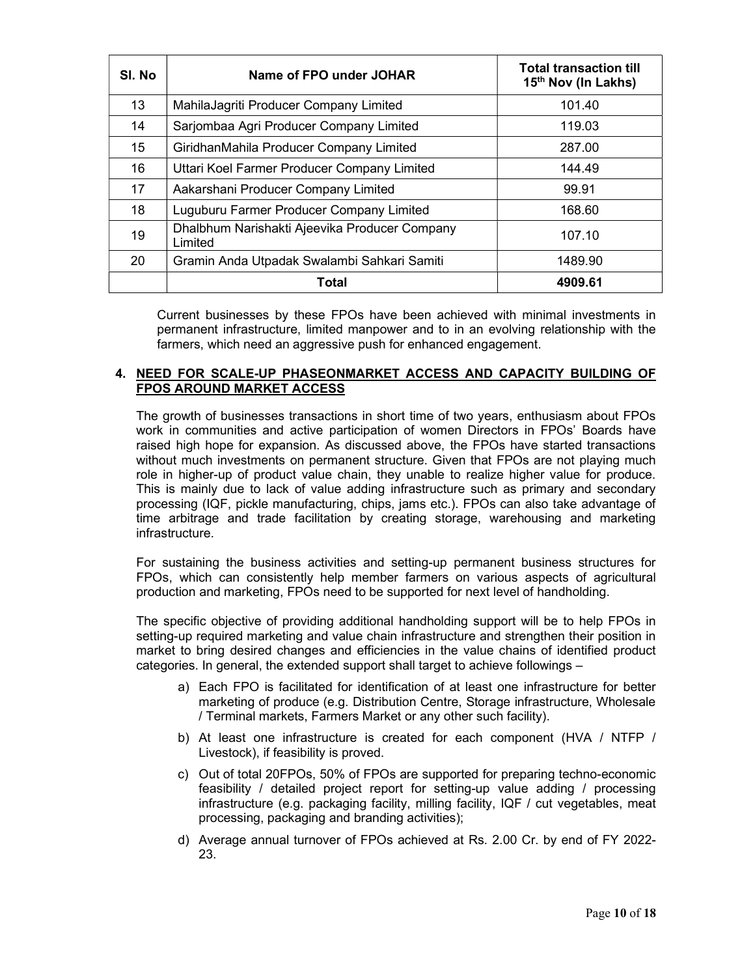| SI. No | Name of FPO under JOHAR                                  | <b>Total transaction till</b><br>15 <sup>th</sup> Nov (In Lakhs) |  |  |  |
|--------|----------------------------------------------------------|------------------------------------------------------------------|--|--|--|
| 13     | 101.40<br>MahilaJagriti Producer Company Limited         |                                                                  |  |  |  |
| 14     | Sarjombaa Agri Producer Company Limited<br>119.03        |                                                                  |  |  |  |
| 15     | GiridhanMahila Producer Company Limited<br>287.00        |                                                                  |  |  |  |
| 16     | Uttari Koel Farmer Producer Company Limited<br>144.49    |                                                                  |  |  |  |
| 17     | Aakarshani Producer Company Limited<br>99.91             |                                                                  |  |  |  |
| 18     | Luguburu Farmer Producer Company Limited<br>168.60       |                                                                  |  |  |  |
| 19     | Dhalbhum Narishakti Ajeevika Producer Company<br>Limited |                                                                  |  |  |  |
| 20     | Gramin Anda Utpadak Swalambi Sahkari Samiti              | 1489.90                                                          |  |  |  |
|        | Total                                                    | 4909.61                                                          |  |  |  |

Current businesses by these FPOs have been achieved with minimal investments in permanent infrastructure, limited manpower and to in an evolving relationship with the farmers, which need an aggressive push for enhanced engagement.

## 4. NEED FOR SCALE-UP PHASEONMARKET ACCESS AND CAPACITY BUILDING OF FPOS AROUND MARKET ACCESS

The growth of businesses transactions in short time of two years, enthusiasm about FPOs work in communities and active participation of women Directors in FPOs' Boards have raised high hope for expansion. As discussed above, the FPOs have started transactions without much investments on permanent structure. Given that FPOs are not playing much role in higher-up of product value chain, they unable to realize higher value for produce. This is mainly due to lack of value adding infrastructure such as primary and secondary processing (IQF, pickle manufacturing, chips, jams etc.). FPOs can also take advantage of time arbitrage and trade facilitation by creating storage, warehousing and marketing infrastructure.

For sustaining the business activities and setting-up permanent business structures for FPOs, which can consistently help member farmers on various aspects of agricultural production and marketing, FPOs need to be supported for next level of handholding.

The specific objective of providing additional handholding support will be to help FPOs in setting-up required marketing and value chain infrastructure and strengthen their position in market to bring desired changes and efficiencies in the value chains of identified product categories. In general, the extended support shall target to achieve followings –

- a) Each FPO is facilitated for identification of at least one infrastructure for better marketing of produce (e.g. Distribution Centre, Storage infrastructure, Wholesale / Terminal markets, Farmers Market or any other such facility).
- b) At least one infrastructure is created for each component (HVA / NTFP / Livestock), if feasibility is proved.
- c) Out of total 20FPOs, 50% of FPOs are supported for preparing techno-economic feasibility / detailed project report for setting-up value adding / processing infrastructure (e.g. packaging facility, milling facility, IQF / cut vegetables, meat processing, packaging and branding activities);
- d) Average annual turnover of FPOs achieved at Rs. 2.00 Cr. by end of FY 2022- 23.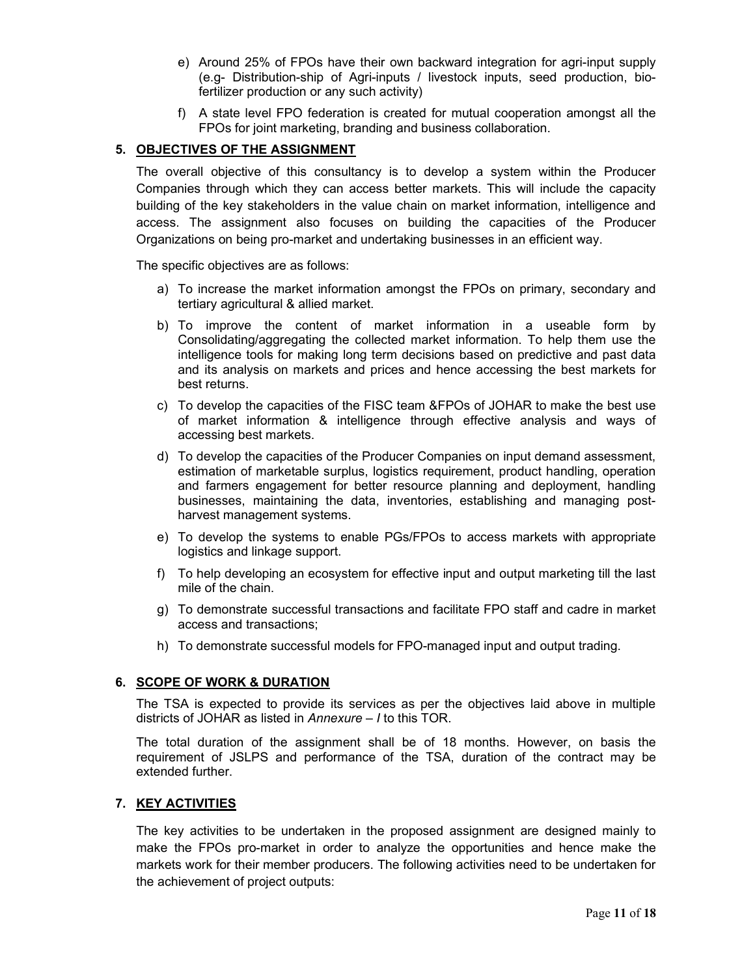- e) Around 25% of FPOs have their own backward integration for agri-input supply (e.g- Distribution-ship of Agri-inputs / livestock inputs, seed production, biofertilizer production or any such activity)
- f) A state level FPO federation is created for mutual cooperation amongst all the FPOs for joint marketing, branding and business collaboration.

# 5. OBJECTIVES OF THE ASSIGNMENT

The overall objective of this consultancy is to develop a system within the Producer Companies through which they can access better markets. This will include the capacity building of the key stakeholders in the value chain on market information, intelligence and access. The assignment also focuses on building the capacities of the Producer Organizations on being pro-market and undertaking businesses in an efficient way.

The specific objectives are as follows:

- a) To increase the market information amongst the FPOs on primary, secondary and tertiary agricultural & allied market.
- b) To improve the content of market information in a useable form by Consolidating/aggregating the collected market information. To help them use the intelligence tools for making long term decisions based on predictive and past data and its analysis on markets and prices and hence accessing the best markets for best returns.
- c) To develop the capacities of the FISC team &FPOs of JOHAR to make the best use of market information & intelligence through effective analysis and ways of accessing best markets.
- d) To develop the capacities of the Producer Companies on input demand assessment, estimation of marketable surplus, logistics requirement, product handling, operation and farmers engagement for better resource planning and deployment, handling businesses, maintaining the data, inventories, establishing and managing postharvest management systems.
- e) To develop the systems to enable PGs/FPOs to access markets with appropriate logistics and linkage support.
- f) To help developing an ecosystem for effective input and output marketing till the last mile of the chain.
- g) To demonstrate successful transactions and facilitate FPO staff and cadre in market access and transactions;
- h) To demonstrate successful models for FPO-managed input and output trading.

## 6. SCOPE OF WORK & DURATION

The TSA is expected to provide its services as per the objectives laid above in multiple districts of JOHAR as listed in Annexure – I to this TOR.

The total duration of the assignment shall be of 18 months. However, on basis the requirement of JSLPS and performance of the TSA, duration of the contract may be extended further.

## 7. KEY ACTIVITIES

The key activities to be undertaken in the proposed assignment are designed mainly to make the FPOs pro-market in order to analyze the opportunities and hence make the markets work for their member producers. The following activities need to be undertaken for the achievement of project outputs: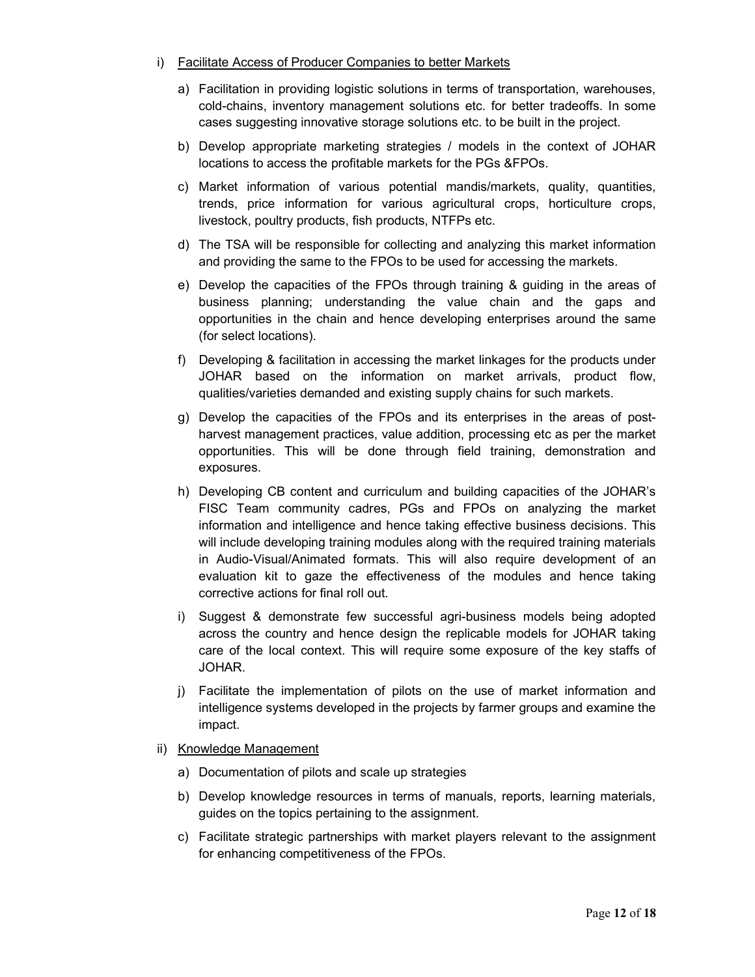- i) Facilitate Access of Producer Companies to better Markets
	- a) Facilitation in providing logistic solutions in terms of transportation, warehouses, cold-chains, inventory management solutions etc. for better tradeoffs. In some cases suggesting innovative storage solutions etc. to be built in the project.
	- b) Develop appropriate marketing strategies / models in the context of JOHAR locations to access the profitable markets for the PGs &FPOs.
	- c) Market information of various potential mandis/markets, quality, quantities, trends, price information for various agricultural crops, horticulture crops, livestock, poultry products, fish products, NTFPs etc.
	- d) The TSA will be responsible for collecting and analyzing this market information and providing the same to the FPOs to be used for accessing the markets.
	- e) Develop the capacities of the FPOs through training & guiding in the areas of business planning; understanding the value chain and the gaps and opportunities in the chain and hence developing enterprises around the same (for select locations).
	- f) Developing & facilitation in accessing the market linkages for the products under JOHAR based on the information on market arrivals, product flow, qualities/varieties demanded and existing supply chains for such markets.
	- g) Develop the capacities of the FPOs and its enterprises in the areas of postharvest management practices, value addition, processing etc as per the market opportunities. This will be done through field training, demonstration and exposures.
	- h) Developing CB content and curriculum and building capacities of the JOHAR's FISC Team community cadres, PGs and FPOs on analyzing the market information and intelligence and hence taking effective business decisions. This will include developing training modules along with the required training materials in Audio-Visual/Animated formats. This will also require development of an evaluation kit to gaze the effectiveness of the modules and hence taking corrective actions for final roll out.
	- i) Suggest & demonstrate few successful agri-business models being adopted across the country and hence design the replicable models for JOHAR taking care of the local context. This will require some exposure of the key staffs of JOHAR.
	- j) Facilitate the implementation of pilots on the use of market information and intelligence systems developed in the projects by farmer groups and examine the impact.
- ii) Knowledge Management
	- a) Documentation of pilots and scale up strategies
	- b) Develop knowledge resources in terms of manuals, reports, learning materials, guides on the topics pertaining to the assignment.
	- c) Facilitate strategic partnerships with market players relevant to the assignment for enhancing competitiveness of the FPOs.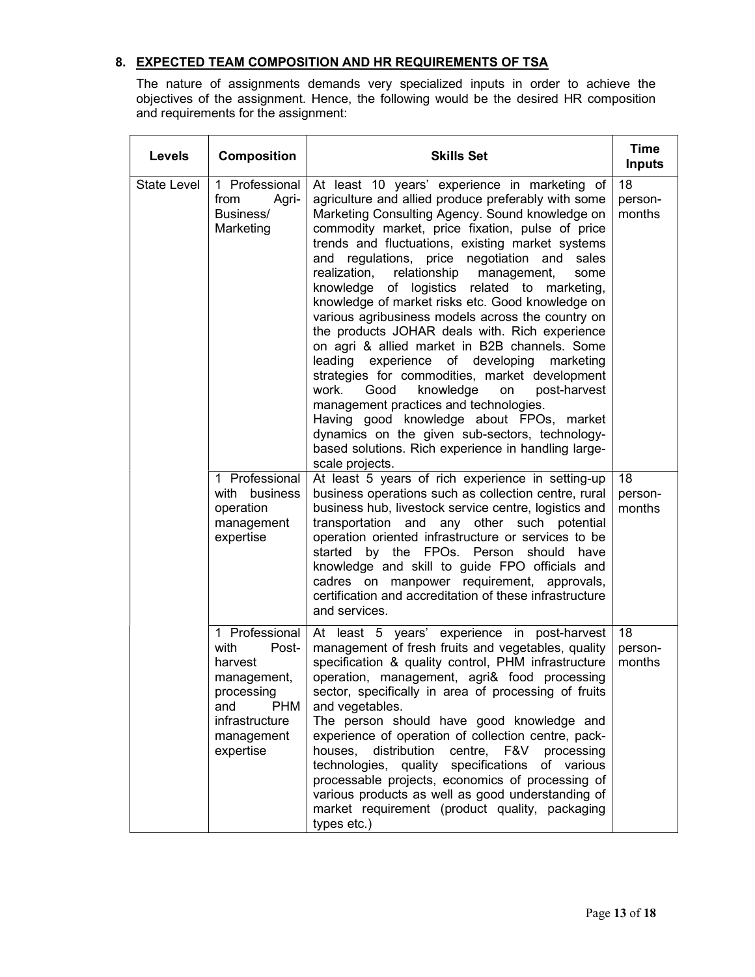# 8. EXPECTED TEAM COMPOSITION AND HR REQUIREMENTS OF TSA

The nature of assignments demands very specialized inputs in order to achieve the objectives of the assignment. Hence, the following would be the desired HR composition and requirements for the assignment:

| Levels             | <b>Composition</b>                                                                                                                        | <b>Skills Set</b>                                                                                                                                                                                                                                                                                                                                                                                                                                                                                                                                                                                                                                                                                                                                                                                                                                                                                                                                                                                              | <b>Time</b><br><b>Inputs</b> |
|--------------------|-------------------------------------------------------------------------------------------------------------------------------------------|----------------------------------------------------------------------------------------------------------------------------------------------------------------------------------------------------------------------------------------------------------------------------------------------------------------------------------------------------------------------------------------------------------------------------------------------------------------------------------------------------------------------------------------------------------------------------------------------------------------------------------------------------------------------------------------------------------------------------------------------------------------------------------------------------------------------------------------------------------------------------------------------------------------------------------------------------------------------------------------------------------------|------------------------------|
| <b>State Level</b> | 1 Professional<br>from<br>Agri-<br>Business/<br>Marketing                                                                                 | At least 10 years' experience in marketing of<br>agriculture and allied produce preferably with some<br>Marketing Consulting Agency. Sound knowledge on<br>commodity market, price fixation, pulse of price<br>trends and fluctuations, existing market systems<br>regulations, price negotiation and<br>sales<br>and<br>relationship management,<br>realization,<br>some<br>knowledge of logistics related to marketing,<br>knowledge of market risks etc. Good knowledge on<br>various agribusiness models across the country on<br>the products JOHAR deals with. Rich experience<br>on agri & allied market in B2B channels. Some<br>leading experience of developing<br>marketing<br>strategies for commodities, market development<br>knowledge<br>work.<br>Good<br>post-harvest<br>on<br>management practices and technologies.<br>Having good knowledge about FPOs, market<br>dynamics on the given sub-sectors, technology-<br>based solutions. Rich experience in handling large-<br>scale projects. | 18<br>person-<br>months      |
|                    | 1 Professional<br>with<br>business<br>operation<br>management<br>expertise                                                                | At least 5 years of rich experience in setting-up<br>business operations such as collection centre, rural<br>business hub, livestock service centre, logistics and<br>transportation and any other such potential<br>operation oriented infrastructure or services to be<br>started by the FPOs. Person should have<br>knowledge and skill to guide FPO officials and<br>cadres on manpower requirement, approvals,<br>certification and accreditation of these infrastructure<br>and services.                                                                                                                                                                                                                                                                                                                                                                                                                                                                                                                | 18<br>person-<br>months      |
|                    | 1 Professional<br>with<br>Post-<br>harvest<br>management,<br>processing<br><b>PHM</b><br>and<br>infrastructure<br>management<br>expertise | At least 5 years' experience in post-harvest<br>management of fresh fruits and vegetables, quality<br>specification & quality control, PHM infrastructure<br>operation, management, agri& food processing<br>sector, specifically in area of processing of fruits<br>and vegetables.<br>The person should have good knowledge and<br>experience of operation of collection centre, pack-<br>houses,<br>distribution<br>centre, F&V processing<br>technologies, quality specifications of various<br>processable projects, economics of processing of<br>various products as well as good understanding of<br>market requirement (product quality, packaging<br>types etc.)                                                                                                                                                                                                                                                                                                                                     | 18<br>person-<br>months      |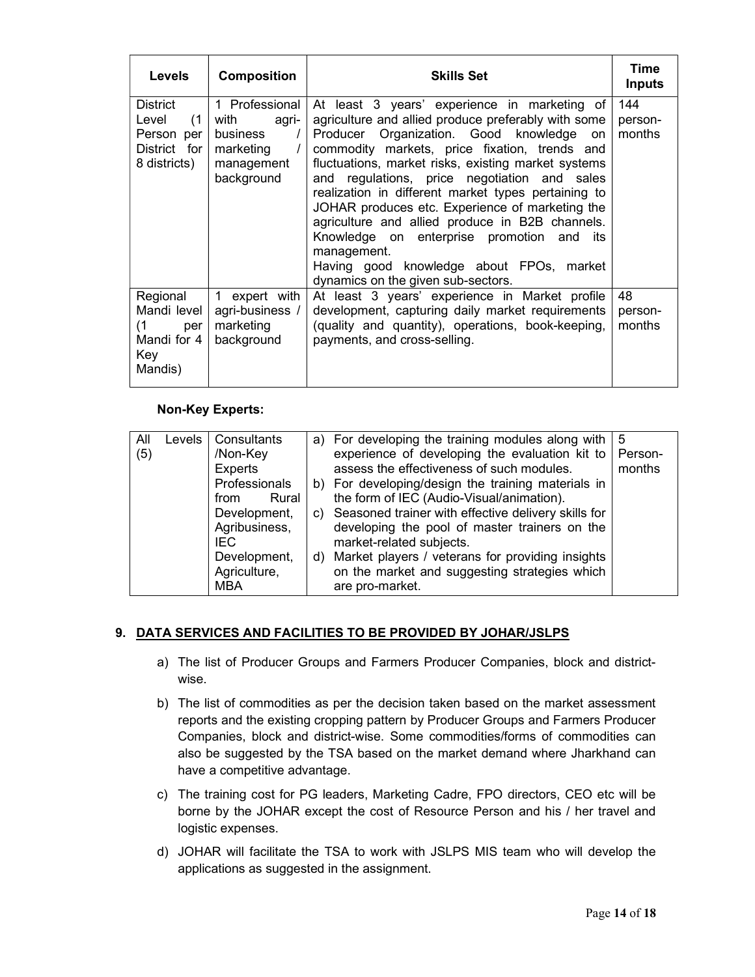| <b>Levels</b>                                                          | <b>Composition</b>                                                                   | <b>Skills Set</b>                                                                                                                                                                                                                                                                                                                                                                                                                                                                                                                                                                                                           | Time<br><b>Inputs</b>    |
|------------------------------------------------------------------------|--------------------------------------------------------------------------------------|-----------------------------------------------------------------------------------------------------------------------------------------------------------------------------------------------------------------------------------------------------------------------------------------------------------------------------------------------------------------------------------------------------------------------------------------------------------------------------------------------------------------------------------------------------------------------------------------------------------------------------|--------------------------|
| District<br>Level<br>(1)<br>Person per<br>District for<br>8 districts) | 1 Professional<br>with<br>agri-<br>business<br>marketing<br>management<br>background | At least 3 years' experience in marketing of<br>agriculture and allied produce preferably with some<br>Producer Organization. Good knowledge<br>on<br>commodity markets, price fixation, trends and<br>fluctuations, market risks, existing market systems<br>and regulations, price negotiation and sales<br>realization in different market types pertaining to<br>JOHAR produces etc. Experience of marketing the<br>agriculture and allied produce in B2B channels.<br>Knowledge on enterprise promotion<br>and<br>its<br>management.<br>Having good knowledge about FPOs, market<br>dynamics on the given sub-sectors. | 144<br>person-<br>months |
| Regional<br>Mandi level<br>(1)<br>per<br>Mandi for 4<br>Key<br>Mandis) | expert with<br>$\mathbf{1}$<br>agri-business /<br>marketing<br>background            | At least 3 years' experience in Market profile<br>development, capturing daily market requirements<br>(quality and quantity), operations, book-keeping,<br>payments, and cross-selling.                                                                                                                                                                                                                                                                                                                                                                                                                                     | 48<br>person-<br>months  |

## Non-Key Experts:

| All<br>(5) | <b>Levels</b> | Consultants<br>/Non-Key | a) For developing the training modules along with<br>experience of developing the evaluation kit to | 5<br>Person- |
|------------|---------------|-------------------------|-----------------------------------------------------------------------------------------------------|--------------|
|            |               | <b>Experts</b>          | assess the effectiveness of such modules.                                                           | months       |
|            |               | Professionals           | b) For developing/design the training materials in                                                  |              |
|            |               | Rural<br>from           | the form of IEC (Audio-Visual/animation).                                                           |              |
|            |               | Development,            | c) Seasoned trainer with effective delivery skills for                                              |              |
|            |               | Agribusiness,           | developing the pool of master trainers on the                                                       |              |
|            |               | IEC.                    | market-related subjects.                                                                            |              |
|            |               | Development,            | d) Market players / veterans for providing insights                                                 |              |
|            |               | Agriculture,<br>MBA     | on the market and suggesting strategies which<br>are pro-market.                                    |              |

## 9. DATA SERVICES AND FACILITIES TO BE PROVIDED BY JOHAR/JSLPS

- a) The list of Producer Groups and Farmers Producer Companies, block and districtwise.
- b) The list of commodities as per the decision taken based on the market assessment reports and the existing cropping pattern by Producer Groups and Farmers Producer Companies, block and district-wise. Some commodities/forms of commodities can also be suggested by the TSA based on the market demand where Jharkhand can have a competitive advantage.
- c) The training cost for PG leaders, Marketing Cadre, FPO directors, CEO etc will be borne by the JOHAR except the cost of Resource Person and his / her travel and logistic expenses.
- d) JOHAR will facilitate the TSA to work with JSLPS MIS team who will develop the applications as suggested in the assignment.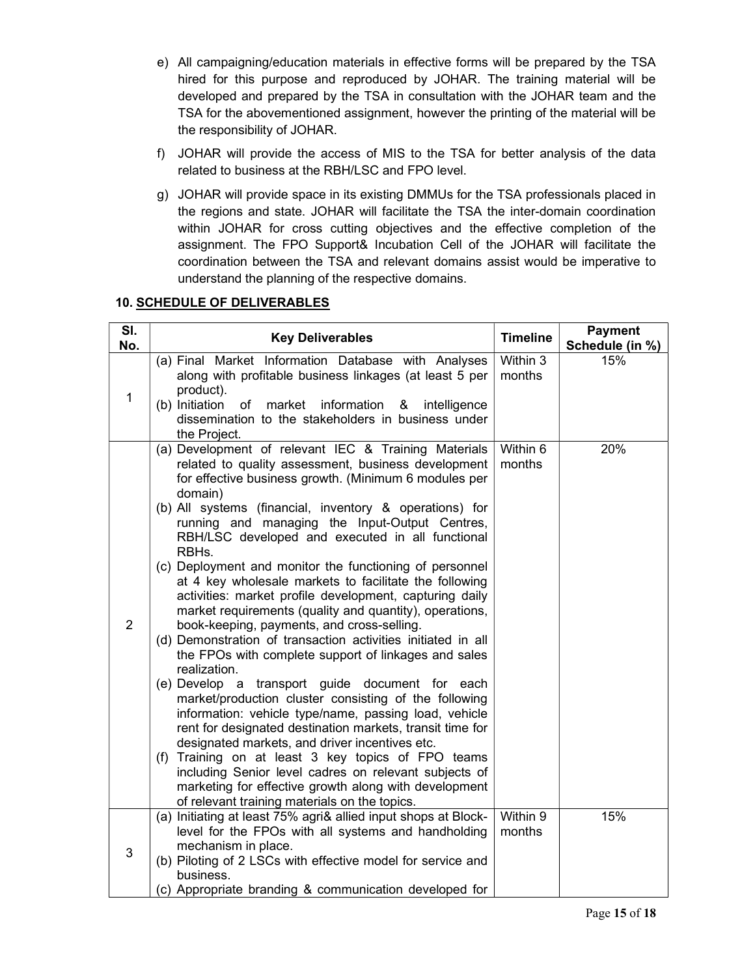- e) All campaigning/education materials in effective forms will be prepared by the TSA hired for this purpose and reproduced by JOHAR. The training material will be developed and prepared by the TSA in consultation with the JOHAR team and the TSA for the abovementioned assignment, however the printing of the material will be the responsibility of JOHAR.
- f) JOHAR will provide the access of MIS to the TSA for better analysis of the data related to business at the RBH/LSC and FPO level.
- g) JOHAR will provide space in its existing DMMUs for the TSA professionals placed in the regions and state. JOHAR will facilitate the TSA the inter-domain coordination within JOHAR for cross cutting objectives and the effective completion of the assignment. The FPO Support& Incubation Cell of the JOHAR will facilitate the coordination between the TSA and relevant domains assist would be imperative to understand the planning of the respective domains.

# 10. SCHEDULE OF DELIVERABLES

| SI.<br>No.     | <b>Key Deliverables</b>                                                                                                                                                                                                                                                                                                                                                                                                                                                                                                                                                                                                                                                                                                                                                                                                                                                                                                                                                                                                                                                                                                                                                                                                                                                                                 | <b>Timeline</b>    | <b>Payment</b><br>Schedule (in %) |
|----------------|---------------------------------------------------------------------------------------------------------------------------------------------------------------------------------------------------------------------------------------------------------------------------------------------------------------------------------------------------------------------------------------------------------------------------------------------------------------------------------------------------------------------------------------------------------------------------------------------------------------------------------------------------------------------------------------------------------------------------------------------------------------------------------------------------------------------------------------------------------------------------------------------------------------------------------------------------------------------------------------------------------------------------------------------------------------------------------------------------------------------------------------------------------------------------------------------------------------------------------------------------------------------------------------------------------|--------------------|-----------------------------------|
| 1              | (a) Final Market Information Database with Analyses<br>along with profitable business linkages (at least 5 per<br>product).<br>(b) Initiation<br>market information<br>of<br>intelligence<br>&<br>dissemination to the stakeholders in business under<br>the Project.                                                                                                                                                                                                                                                                                                                                                                                                                                                                                                                                                                                                                                                                                                                                                                                                                                                                                                                                                                                                                                   | Within 3<br>months | 15%                               |
| $\overline{2}$ | (a) Development of relevant IEC & Training Materials<br>related to quality assessment, business development<br>for effective business growth. (Minimum 6 modules per<br>domain)<br>(b) All systems (financial, inventory & operations) for<br>running and managing the Input-Output Centres,<br>RBH/LSC developed and executed in all functional<br>RBHs.<br>(c) Deployment and monitor the functioning of personnel<br>at 4 key wholesale markets to facilitate the following<br>activities: market profile development, capturing daily<br>market requirements (quality and quantity), operations,<br>book-keeping, payments, and cross-selling.<br>(d) Demonstration of transaction activities initiated in all<br>the FPOs with complete support of linkages and sales<br>realization.<br>(e) Develop a transport guide document for each<br>market/production cluster consisting of the following<br>information: vehicle type/name, passing load, vehicle<br>rent for designated destination markets, transit time for<br>designated markets, and driver incentives etc.<br>(f) Training on at least 3 key topics of FPO teams<br>including Senior level cadres on relevant subjects of<br>marketing for effective growth along with development<br>of relevant training materials on the topics. | Within 6<br>months | 20%                               |
| 3              | (a) Initiating at least 75% agri& allied input shops at Block-<br>level for the FPOs with all systems and handholding<br>mechanism in place.<br>(b) Piloting of 2 LSCs with effective model for service and<br>business.<br>(c) Appropriate branding & communication developed for                                                                                                                                                                                                                                                                                                                                                                                                                                                                                                                                                                                                                                                                                                                                                                                                                                                                                                                                                                                                                      | Within 9<br>months | 15%                               |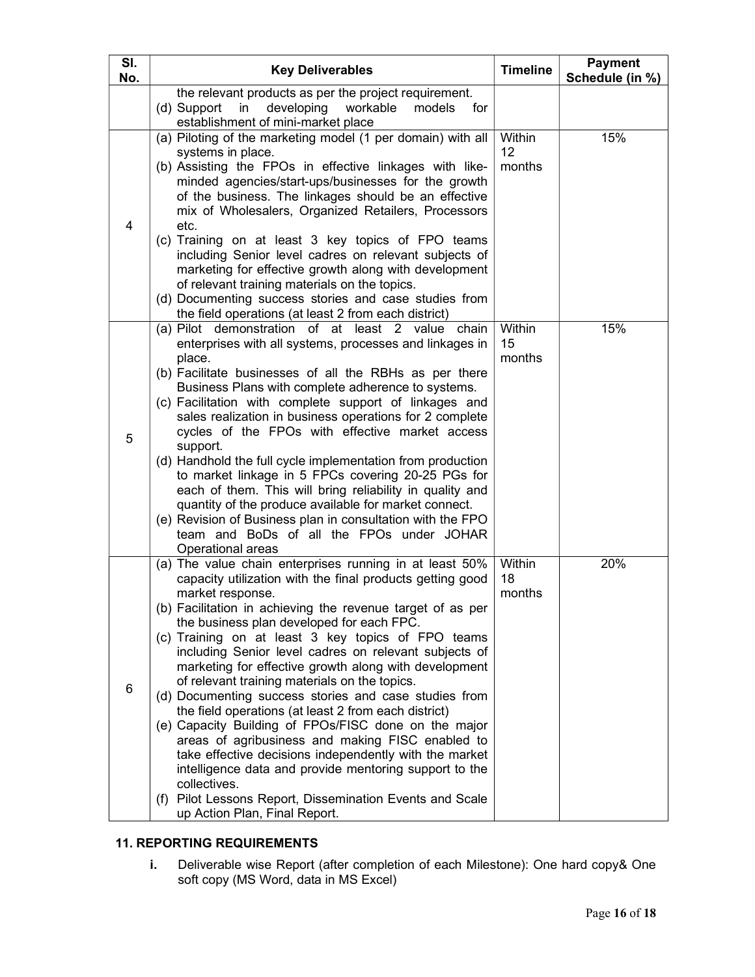| SI.<br>No. | <b>Key Deliverables</b>                                                                                                                                                                                                                                                                                                                                                                                                                                                                                                                                                                                                                                                                                                                                                                                                                                                                                                                    | <b>Timeline</b>        | <b>Payment</b><br>Schedule (in %) |
|------------|--------------------------------------------------------------------------------------------------------------------------------------------------------------------------------------------------------------------------------------------------------------------------------------------------------------------------------------------------------------------------------------------------------------------------------------------------------------------------------------------------------------------------------------------------------------------------------------------------------------------------------------------------------------------------------------------------------------------------------------------------------------------------------------------------------------------------------------------------------------------------------------------------------------------------------------------|------------------------|-----------------------------------|
|            | the relevant products as per the project requirement.<br>developing<br>workable<br>(d) Support<br>$\mathsf{in}$<br>models<br>for<br>establishment of mini-market place                                                                                                                                                                                                                                                                                                                                                                                                                                                                                                                                                                                                                                                                                                                                                                     |                        |                                   |
| 4          | (a) Piloting of the marketing model (1 per domain) with all<br>systems in place.<br>(b) Assisting the FPOs in effective linkages with like-<br>minded agencies/start-ups/businesses for the growth<br>of the business. The linkages should be an effective<br>mix of Wholesalers, Organized Retailers, Processors<br>etc.<br>(c) Training on at least 3 key topics of FPO teams<br>including Senior level cadres on relevant subjects of<br>marketing for effective growth along with development<br>of relevant training materials on the topics.<br>(d) Documenting success stories and case studies from<br>the field operations (at least 2 from each district)                                                                                                                                                                                                                                                                        | Within<br>12<br>months | 15%                               |
| 5          | (a) Pilot demonstration of at least 2 value chain<br>enterprises with all systems, processes and linkages in<br>place.<br>(b) Facilitate businesses of all the RBHs as per there<br>Business Plans with complete adherence to systems.<br>(c) Facilitation with complete support of linkages and<br>sales realization in business operations for 2 complete<br>cycles of the FPOs with effective market access<br>support.<br>(d) Handhold the full cycle implementation from production<br>to market linkage in 5 FPCs covering 20-25 PGs for<br>each of them. This will bring reliability in quality and<br>quantity of the produce available for market connect.<br>(e) Revision of Business plan in consultation with the FPO<br>team and BoDs of all the FPOs under JOHAR<br>Operational areas                                                                                                                                        | Within<br>15<br>months | 15%                               |
| 6          | (a) The value chain enterprises running in at least 50%<br>capacity utilization with the final products getting good<br>market response.<br>(b) Facilitation in achieving the revenue target of as per<br>the business plan developed for each FPC.<br>(c) Training on at least 3 key topics of FPO teams<br>including Senior level cadres on relevant subjects of<br>marketing for effective growth along with development<br>of relevant training materials on the topics.<br>(d) Documenting success stories and case studies from<br>the field operations (at least 2 from each district)<br>(e) Capacity Building of FPOs/FISC done on the major<br>areas of agribusiness and making FISC enabled to<br>take effective decisions independently with the market<br>intelligence data and provide mentoring support to the<br>collectives.<br>(f) Pilot Lessons Report, Dissemination Events and Scale<br>up Action Plan, Final Report. | Within<br>18<br>months | 20%                               |

# 11. REPORTING REQUIREMENTS

i. Deliverable wise Report (after completion of each Milestone): One hard copy& One soft copy (MS Word, data in MS Excel)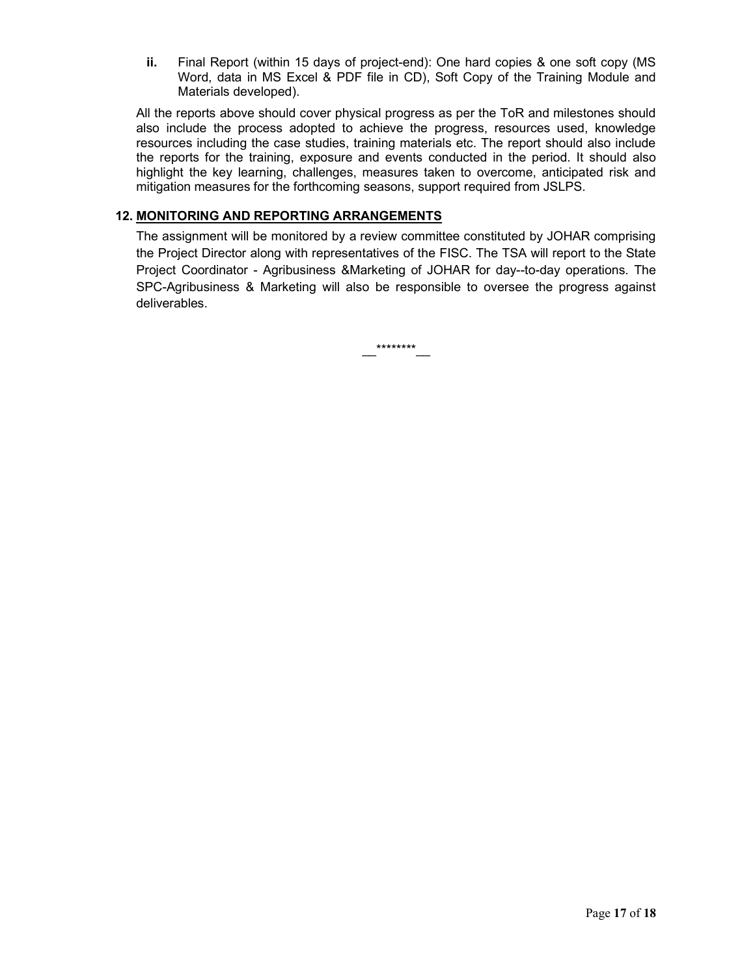ii. Final Report (within 15 days of project-end): One hard copies & one soft copy (MS Word, data in MS Excel & PDF file in CD), Soft Copy of the Training Module and Materials developed).

All the reports above should cover physical progress as per the ToR and milestones should also include the process adopted to achieve the progress, resources used, knowledge resources including the case studies, training materials etc. The report should also include the reports for the training, exposure and events conducted in the period. It should also highlight the key learning, challenges, measures taken to overcome, anticipated risk and mitigation measures for the forthcoming seasons, support required from JSLPS.

#### 12. MONITORING AND REPORTING ARRANGEMENTS

The assignment will be monitored by a review committee constituted by JOHAR comprising the Project Director along with representatives of the FISC. The TSA will report to the State Project Coordinator - Agribusiness &Marketing of JOHAR for day--to-day operations. The SPC-Agribusiness & Marketing will also be responsible to oversee the progress against deliverables.

\_\_\*\*\*\*\*\*\*\*\_\_